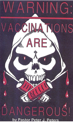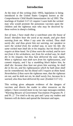### **Introduction**

At the time of this writing (July 1993), legislation is being introduced in the United States Congress known as the *Comprehensive Child Health Immunization Act of 1993*. The teachings of Ezekiel 3:17-21 require I warn both the wicked man who would promote the poisonous vaccines upon the children and the righteous man who may be deceived by these wolves in sheep's clothing.

*Son of man, I have made thee a watchman unto the house of Israel: therefore hear the word at my mouth, and give them warning from me. When I say unto the wicked, Thou shalt surely die; and thou givest him not warning, nor speakest to warn the wicked from his wicked way, to save his life; the same wicked man shall die in his iniquity; but his blood will I require at thine hand. Yet if thou warn the wicked, and he turn not from it his wickedness, nor from his wicked way, he shall die in his iniquity; but thou hast delivered thy soul. Again, When a righteous man doth turn from his righteousness, and commit iniquity, and I lay a stumbling block before him, he shall die: because thou hast not given him warning, he shall die in his sin, and his righteousness which he hath done shall not be remembered; but his blood will I require at thine hand. Nevertheless if thou warn the righteous man, that the righteous sin not, and he doth not sin, he shall surely live, because he is warned; also thou hast delivered thy soul.* (Ezekiel 3:17-21)

This writing gives adequate evidence of the dangers of vaccines and directs the reader to other resources on the subject. I have covered more in my two tape messages entitled, "*Warning-Beware of Government Vaccination Programs Pt. 1 and Pt. 2.*" I've tried to do my part and I pray my readers and listeners will do theirs and spread the literature and tapes.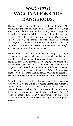# *WARNING!* **VACCINATIONS ARE DANGEROUS.**

The very senate Bills (S. 732, S. 733) with stated purpose "*To provide for the immunization of all children in the United States*" admit there is risk involved. Thus, the real purpose of the bill is to submit all children to the risks and dangers of vaccines. Note the following from S. 733: *The National Vaccine Injury Compensation Program should be extended and improved. Vaccine information materials should be simplified to ensure that parents can understand the benefits and risks of vaccines.***1** (emphasis added)

The National Vaccine Injury Compensation Program is a type of insurance system established to cover all the law suits brought by victims damaged by vaccinations. The bills S.732 and S.733 say: *The National Vaccine Injury Compensation is an essential element in a comprehensive immunization program and should be applied to additional vaccines recommended for Universal use in children.***2** (emphasis added) Note the word ESSENTIAL. Why is it essential? **Because children will be harmed and lawsuits will be filed.**

According to such people as Barbara Lee Fisher, executive vice president of the National Vaccine Information Center, 1 figures from the U.S. claims court as of October 31 , 1990, that several thousand claims [for compensation from injuries or death caused by vaccines] have already been filed.**3** The FDA reported more than 17,000 unfavorable events from vaccinations (including 350 deaths) during a 20 month period alone.**4**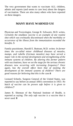The very government that wants to vaccinate ALL children, admits and reports (and seems to care less) about the dangers of vaccination. There are also many others who have reported on these dangers.

### **MANY HAVE WARNED US!**

Physician and Toxicologist, George R. Schwartz, M.D. writes, *Certainly the smallpox vaccine is an example of one routine shot which was eventually discontinued when the morbidity or occurrence of the illness from the immunization exceeded the benefits.* **5**

Family practitioner, Harold E. Buttram, M.D. writes: *In former times the so-called minor childhood diseases of measles, mumps, and rubella (German measles) may have served a major role in the normal development and strengthening of the immune systems of children. By altering this former pattern with vaccinations, have we set the stage for the serious chronic diseases now occurring with increasing frequency? Once again, has the overall effect been that of stunting the development of the immune systems of children? There are good reasons for believing that this is the case.***6**

Leonard Scheele, Surgeon General of the United States, was reported to say before an annual AMA convention in 1955: *No batch of vaccine can be proven safe before it is given to children.***7**

James R. Shennan of the National Institute of Health, is reported as saying: *The only safe vaccine is a vaccine that is never used.* **8**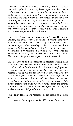Physician, Dr. Henry R. Bybee of Norfolk, Virginia, has been reported as publicly stating: *My honest opinion is that vaccine is the cause of more disease and suffering than anything I could name. I believe that such diseases as cancer, syphilis, cold sores and many other disease conditions are the direct results of vaccination. Yet, in the state of Virginia, and in many other states, parents are compelled to submit their children to this procedure while the medical profession not only receives its pay for this service, but also makes splendid and prospective patients for the future.***9**

Dr. Herbert Snow, senior surgeon at the Cancer Hospital of London, has been reported as saying: *In recent years many men and women in the prime of life have dropped dead suddenly, often after attending a feast or banquet. I am convinced that some eighty percent of these deaths are caused by inoculation or vaccination they have undergone. They are well known to cause grave and permanent disease to the heart. The coroner always hushes it up as 'natural causes.***10**

Dr. J.M, Peebles of San Francisco, is reported writing in his book on vaccine: *The vaccination practice, pushed to the front on all occasions by the medical profession through political connivance made compulsory by the state, has not only become the chief menace and the greatest danger to the health of the rising generation, but likewise the crowning outrage upon the personal liberties of the American citizen; compulsory vaccination, poisoning the crimson currents of the human system with brute-extracted lymph under the strange infatuation that it would prevent smallpox, was one of the darkest blots that disfigured the last century.***11**

Annie Riley Hale, in The Medical Voodoo speaks of medicine as:

"*a system of healing which after 5000 years of trial and*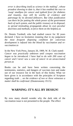*error is describing itself as science in the making*"*, whose proudest showing to date is, that it has enabled the race to 'swap' smallpox for cancer and typhoid fever for diabetes and insanity, may still be worthy of credence and patronage by its devoted followers. But what justification can there be for putting the whole power of the government back of such system, and the public treasury at its disposal, to spread misleading propaganda about its own peculiar doctrines and methods, to force them on the helpless.***12**

Dr. Dennis Turnbull, who had studied cancer for 30 years declared: *I have no hesitation instating that in my judgement the most frequent disposing condition for cancerous development is infused into the blood by vaccination and revaccination.***13**

In the New York Press, January 26, 1909, W. B. Clark stated: *Cancer was practically unknown until cowpox vaccination began to be introduced. I have had to do with 200 cases of cancer and I never saw a case of cancer in an unvaccinated person.***14**

Books can be and have been written concerning the testimonies, statistics, and dangers of vaccines (see and make use of our resource list in the back of this book). What we have given is in accordance with the principles of Scripture regarding truth ... *on the evidence of two or three witnesses a matter shall be confirmed.* (Deuteronomy 19:15)

### **WARNING: IT'S ALL BY DESIGN!**

By now many should wonder why the dark side of the vaccination issue is not presented to the people. The effect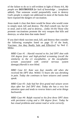of the failure to do so is self-evident in light of Hosea 4:6, *My people are DESTROYED for lack of knowledge ...* (emphasis added). That someone would purposefully want to destroy God's people is simply not addressed in most of the books that have exposed the dangers of vaccination.

Jesus made it clear that there would be those who would come to simply steal, kill and destroy. *The thief cometh not, but for to steal, and to kill, and to destroy...* (John 10:10) Those who promote vaccinations promote the very weapon that kills and destroys, so what does that make them?

If you don't think vaccines steal, kill, and destroy then consider the following examples listed on page 55 of the book, Vaccines: Are they Really Safe and Effective? by Neil Z. Miller.

*MBD Case #1 : Harold reacted to his 2nd DPT shot with 104 degree fever and high-pitched screaming (recall the similarity to the cri encephalitic, or the encephalitic scream associated with central nervous system damage).Harold is now blind.*

*MBD Case #2: Kate was four months old when she received the DPT shot. Within 72 hours she was shrieking in pain. Today she continues to have seizures and cannot speak.*

*MBD Case #3: Judy had her first grand mal seizure seven days after her 2nd DPT shot. Today she has a very low attention span and tends to reverse letters and write things backwards.*

*MBD Case #4: Ralph reacted to his first three DPT shots with persistent crying and a 104 degree fever. Today he has visual problems and cannot read or write correctly.*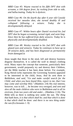*MBD Case #5: Wayne reacted to his fifth DPT shot with screams, a 104 degree fever, by rocking from side to side, and hallucinating. Today he is dyslexic.* 

*MBD Case #6: On the fourth day after 6 year old Cassidy received her measles shot, she turned deathly ill and collapsed following a seizure. Today she is developmentally delayed.* 

*MBD Case #7: Within hours after Daniel received his 2nd DPT shot he began screaming, turned rigid, and went limp. Since then he has suffered from daily seizures. Today he is physically and developmentally disabled.* 

*MBD Case #8: Wesley reacted to his 2nd DPT shot with glazed eyes and seizures. Today he continues to have up to 30 seizures daily, and has been diagnosed as permanently brain damaged.***15**

Jesus taught that those in the steal, kill and destroy business disguise themselves. It is called the wolf in sheep's clothing trick. Many reject the concept that someone, particularly their government, would purposely try and destroy their Children, yet the Bible teaches it has been done before. For example, King Herod (who represents the Governing System) appeared to be interested in the child, Jesus, *And he sent them to Bethlehem, and said,* "*Go and make careful search for the Child; and when you have found Him, report to me, that I too may come and worship Him.*" (Matthew 2:8) His real interest, however, was to kill. ... *he became very enraged, and sent and slew all the male children who were in Bethlehem and in all its environs, from two years old and under*... (Matthew 2:16). The Bible tells us there is nothing new under the sun. *The thing that hath been, it is that which shall be; and that which is done is that which shall be done: and there is no new thing under the sun.*(Ecclesiastes 1 :9)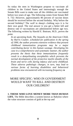So today the men in Washington propose to vaccinate all children in the United States and interestingly enough the Senate Bills want to make sure all the children are vaccinated before two years of age. The following comes from Senate Bill S. 732: However, approximately 80 percent of vaccine doses should be received before the second birthday. Why before the second birthday? The wolf in sheep's clothing says it is for their own good. The real answer is you get a better kill and destroy rate if vaccinations are administered before age two. The following written by Harold E. Buttram, M.D., proves the point.

*In an upcoming book, The Assaults on the American Child, by Harris Coulter, scheduled for publication in the spring of 1990, the author presents extensive evidence that present childhood immunization programs may be a major contributing factor in this human wastage. Developing his case in a comprehensive and systematic manner, the author presents the thesis that these immunizations frequently result in a demyelinating encephalitis which prevents the normal development of the protective myelin sheaths of the brain and nerve cells during infancy and early childhood. These adverse pathologic changes, in turn, may lead to various forms of learning disabilities and behavioral problems now encountered with increasing frequency.***16**

### MORE SPECIFIC: WHO IN GOVERNMENT WOULD WANT TO KILL AND DESTROY OUR CHILDREN?

### **1. THOSE WHO LOVE MONEY MORE THAN HUMAN LIFE.** The Bible describes a system known as Babylon where the value structure consists of gold at the top and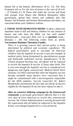human life at the bottom. (Revelation 18:12, 13). The Holy Scriptures tell us *For the love of money is the root of all evil: ...* (I Timothy 6:1 0) Those who make the vaccine and those who prosper from illness (the Medical Monopoly) lobby government, spread their money and suddenly men like Senator Ted Kennedy and Senator Metzenbaum and others, are concerned about your children's welfare.

**2. THOSE WITH DEPRAVED MINDS.** It takes a depraved, reprobate mind to kill and destroy children for any amount of money and who does the Bible say has such minds? Homosexuals! *...God gave them over to a reprobate mind,...* (Romans 1 :28) The following comes from an article, **Vaccination Mandate Threatens Family:**

*There is a growing concern that vaccine policy is being determined by political and economic expediency. The federal government's push to vaccinate all American children with the hepatitis B vaccine is just one example of medical policy being formulated by specialinterest groups and financially motivated vaccine manufacturers. If the Clinton proposal becomes law, all infants will be required to receive the hepatitis B vaccine 12 hours after birth. This is true even though the hepatitis vaccine is considered very dangerous and highly controversial. Medical World News (January 10,1992) reported that when the hepatitis vaccine became available many doctors were concerned that it might be contaminated with a microorganism responsible for the AIDS epidemic. Vaccine researcher Dr. Robert Mendelsohn documented the fact that two-thirds of doctors eligible for the hepatitis B vaccine have refused to take it.* 

*After an extensive lobbying campaign by the homosexual community to persuade government officials that it is the civic duty of every American to receive this controversial vaccine, the Clinton Administration is moving forward with the requirement that all babies be subjected to the hepatitis B shot, even though hepatitis B is a virus primarily*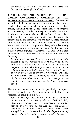*contracted by prostitutes, intravenous drug users and homosexuals.***17** (emphasis added)

**3. THOSE WHO ARE PUSHING FOR THE ONE WORLD GOVERNMENT OUTLINED IN THE PROTOCOLS OF THE ELDERS OF ZION.** The protocols are a Jewish document captured at the turn of the century, which outlines steps to achieve a one world order. Many groups, including Jewish groups, claim them to be forgeries and counterfeits, but to be a forgery or counterfeit there must then be the real thing in existence. Henry Ford referred to them in the twenties and stated how events, since the turn of the century had fit the Protocols. We are now 90 years removed from the time they were found or made known and all one has to do is read them and compare the history of the last ninety years to determine if they are for real. The Protocols are available from Scriptures for America, P.O. Box. 766 LaPorte, Colorado for a \$5.00 offering. Protocol number 10 states the following:

*But you yourselves perfectly well know that to produce the possibility of the expression of such wishes by all the nations it is indispensable to trouble In all countries the people's reactions with their governments so as to utterly exhaust humanity with dissension, hatred, struggle, envy, and even by the use of torture, by starvation, BY THE INOCULATION OF DISEASES, by want so that the Goyim see no other issue than to take refuge in our complete sovereignty in money and in all else.* (emphasis added)

That the purpose of inoculations is specifically to implant disease is stated by Dr. J.W. Hodge, author of the book, The vaccination Superstition (pg. 41).

*After a thorough investigation of the most authentic records and facts in harmony with the physician's daily observations and experiences, the conclusion is drawn that instead of protecting its subjects from contagion of smallpox, vaccination actually renders them more susceptible to it. Vaccination is the implantation of disease---that is its admitted purpose. Health is the ideal*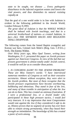*state to be sought, not disease ... Every pathogenic disturbance in the infected organism wastes and lowers the vital powers, and thus diminishes its natural resisting capadty.***18**

That the goal of a one world order is in line with Judaism is evident in the following published in the Jewish World, London February 9,1993.

*The great ideal of Judaism is that the WHOLE WORLD shall be imbued with Jewish teachings, and that in a universal brotherhood of nations---a created Judaism, in fact---ALL THE SEPARATE RACES AND RELIGIONS SHALL DISAPPEAR.*

The following comes from the famed Baptist evangelist and Korean war hero, Colonel Jack Mohr's (Brig. Gen. C.P.D.L.) book, The Enemy Within.

*Over thirty years ago, Miss Opal Tanner, writing from Washington, D. C. presented this paper on Jewish pressure against our American Congress. In view of the fad that our present government is almost totally under Jewish control, it would be well for us to consider these points.*

*1. IS CONGRESS ALERT TO THE JEWISH PROBLEM? These are Miss Tanner's words: "I have interviewed numerous members of Congress as well as their executive secretaries. Almost without exception, they were alert to the Jewish problem. But most of them recognize that the Jewish pressure organizations have become overbearing, bulldozing and obnoxious. They stand in fear of the Jew, and many of them tremble in anticipation of what the Jew can do to them. This has created an ominous frustration. If I were a professional Jew, or a Jewish leader who participated in these high pressure tactics, I would feel very insecure. It is my impression that most Congressmen would vote against the Jew if they considered it safe to do so. History proves that no segment of society has ever been able to remain strong permanently, when they based their strength on intimidation. The knowledge of this has created a panic of sorts among*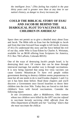*the intelligent Jews." (This feeling has tripled in the past thirty years and is greater now than at any time in our nation's history, as danger to Jewry increases.)***19**

## **COULD THE BIBLICAL STORY OF ESAU AND JACOB BE BEHIND THE DIABOLICAL PLOT TO VACCINATE ALL CHILDREN IN AMERICA?**

Space does not permit us to give a detailed story about Esau and Jacob. The Bible tells us Esau lost the birthright to Jacob and from that time forward Esau sought to kill Jacob. (Genesis 27:41) (To understand this story and the force behind the evil of our day, order Who is Esau-Edom by Charles A. Weisman, available for an \$8.00 offering from Scriptures for America, P.O. Box 766 LaPorte, Colorado 80535)

One of the ways of destroying Jacob's people Israel, is by destroying their race. Of course that can be done through interracial marriage, but another way is through vaccinations. It is now being reported that using live virus vaccines can cause Genetic Mutation.**20** To have evil people within government desiring to destroy children seems preposterous to most but all one needs to do is read Exodus chapters 1 and 2 to see it has been done before. Read those chapters and you'll discover a Government once forced Israelites to throw their children into the river Nile. Today they are forced to risk their children's lives with forced vaccinations. Consider the following report:

*In one circumstance, after a Middletown, Ohio woman whose two children were killed by the OPT vaccine refused to vaccinate heronly surviving child, officials from the Ohio Department of Health sent her "warning" letters that she must vaccinate the child.***21**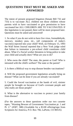## **QUESTIONS THAT MUST BE ASKED AND ANSWERED**

The intent of present proposed litigation (Senate Bill 732 and 733) is to vaccinate ALL children not those children whose parents wish to have vaccinated or give permission to have vaccinated but ALL CHILDREN ARE TO VACCINATED. If this legislation is not passed, there will be more proposed later. Questions must be asked and answered!

1. So what if you do not wish to have live virus, formaldehyde, mercury, monkey puss, etc., (all components of today's vaccines) injected into your child? Well, on February 15, 1993 the Wall Street Journal reported that a New York judge ruled that failure to immunize a pre-school child constitutes child abuse. What if a Social worker threatens to bring police to take your child and actually does? What are you to do?

2. Who owns the child? The state, the parent or God? Who is intrusted with the child's welfare? The state or the parent?

3. Is there a Biblical way to stop disease besides vaccinations?

4. Will the proposed government legislation actually bring on disease? What can be done if you are already vaccinated?

5. Could the forced vaccination at the hands of evil, sinister people be brought on because of God's covenant people and who really are those people?

6. What is the alternative to vaccines to protect your family from disease?

(For the answers to these questions order our two cassette tapes, "Warning Beware of Government Vaccination pt. 1 and Pt. 2." (#587, 588) (Available for a \$3.00 offering/tape from Scriptures for America, P.O. Box 766, LaPorte, CO 80535)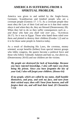## **AMERICA IS SUFFERING FROM A SPIRITUAL PROBLEM.**

America was given to and settled by the Anglo-Saxon, Germanic, Scandinavian and kindred people who are a covenant people (Genesis 17: 1-7). As a covenant people they must obey the Law of their God and see to it that their nation obeys it and when they do, they are blessed (Deuteronomy 28). When they fail to do so they suffer consequences such as ... *and those who hate you shall rule over you*... "(Leviticus 26:17). So it was in Egypt. Those who hated them ruled over them and plotted to destroy their children (Exodus 1,2) and so it is for those same people in America today.

As a result of disobeying His Laws, the covetous, money oriented, accept benefits (bribes) from special interest groups who lobby congress, the queers become a political force and those who follow Talmudic Judaism and hate us, rise above us, (Deuteronomy 28:43) and our children are the victims.

*My people are destroyed for lack of knowledge. Because you have rejected knowledge, I also will reject you from being My priests. Since you have forgotten the law of your God, I also will forget your children. (Hosea 4:6)*

*If my people, which are called by my name, shall humble themselves, and pray, and seek my face, and turn from their wicked ways; then will I hear from heaven, and will forgive their sin, and will heal their land. (II Chronicles 7:14)*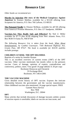# **Resource List**

*Other books we recommend are:* 

**Murder by Injection (the story of the Medical Conspiracy Against America)** by Eustace Mullins, available for a \$15.00 offering from Scriptures for America, P.O. Box 766 LaPorte, CO 80535

**The Poisoned Needle** by Eleanor McBean, available for a\$7.00 offering from America's Promise Ministries, P.O. Box 157 Sandpoint, 1083864

**Vaccines-Are They Really Safe and Effective?** By Neil Z. Miller available for \$7.75 plus \$2.00 shipping from New Atlantic Press, P.O. Box 9638-T4 Santa Fe, NM 87504

*The following Resource List is taken from the book, What About Immunizations. by Cynthia Cournoyer, 7185 Redwood Highway Ave, Grants Pass, OR 97527. The book is available for \$10.95 and/this includes postage.*

#### **CHILDREN AT RISK: THE DPT DILEMMA**

Reprints of a series by Jennifer Hyman

This is an excellent overview of current events (1987) of the DPT vaccines. Other vaccines mentioned, but mostly refers to the pertussis vaccine. Cases of damage, opinions of experts, contradictions and controversy, politics, more. Very good! 16 page tabloid. \$ .50 per copy

Rochester Democrat and Chronicle 55 Exchange Blvd. Rochester, NY 14614-2001

#### **THE VACCINE MACHINE**

Gives detailed recent history of OPT vaccine. Exposes the intricate relationship between the government and the vaccine manufacturers. Other childhood vaccines also mentioned. 24 page special report. FREE

Gannett News Service Box 7858 Washington, D.C. 20044

#### **DPT**

Many articles that include discussion of damage lawsuits settled, system of reaction reports is unreliable, labels on vaccine are inaccurate, and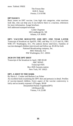The Fresno Bee 1626 E. Street Fresno, CA 93786

#### **DPT BASICS**

Basic issues on DPT vaccine. Lists high risk categories, what reactions look like, who can help you if you believe there is a reaction, references for more information. 4 page brochure.

Self addressed-stamped-envelope

Leslie Chapman 183 Lindbergh Dr. NE Atlanta, GA 30305

**DPT: VACCINE ROULETTE AND DPT: ONE YEAR LATER** Transcript of broadcast on April19, 1982, and May 11,12,13 and 16, 1983 WRC-TV Washington, D.C. Pro andcon doctor interviews. Families of vaccine-damaged children interviewed and follow-up. \$3.00 for both

National Broadcasting company, Inc.

4001 Nebraska Ave NW Washington, D.C. 20016

#### **20/20 ON THE DPT SHOT**

Transcript of the broadcast in April, 1985 \$3.00 ABC NEWS Transcript #505 Box 2020 Ansonia station New York, NY 10023

#### **DPT, A SHOT IN THE DARK**

By Harris L. Coulter and Barbara Loe Fisher An excellent book examining the DPT shot and pertussis in detail. Profiles of vaccine-injured children. Every aspect of the vaccine controversy is fairly and accurately exposed. 479 pages. \$9.00

Dissatisfied Parents Together(DPT) 128 Branch Rd.

Vienna, VA 22180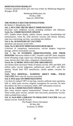#### **IMMUNIZATION BOOKLET**

Contains reprinted articles (pro and con) written by Mothering Magazine. 40 pages. \$5.00

> Mothering Publication, Inc. PO Box 1690 Santa Fe, NM 87504

#### **THE PEOPLE'S DOCTOR NEWSLETTERS**

By Robert S. Mendelsohn, M.D.

#### **Vol. 2, NO.4 THE TRUTH ABOUT IMMUNIZATION**

Discusses each childhood vaccine including smallpox and influenza. **Vo14, No. 5 IMMUNIZATION UPDATE**

OPT, Sudden Infant Deaths, rubella, tetanus, mumps, breastfeeding and immunization, swine flu, links between vaccines and chronic diseases, state laws concerning vaccines, vaccinating sick children.

#### **Vol. 6, No. 10 DANGERS OF VACCINES**

Questions and answers on the OPT ..

#### **Vol.6, No.12 RECENT IMMUNIZATION RESEARCH**

Criticisms of compulsory immunization; vaccine dangers, long-term damage, arthritis fromrubella vaccine.

**Vol. 7, No. 10 AVOIDING IMMUNIZATIONS AND THEIR DANGERS** Abscesses linked to OPT, Tourette's and OPT shots, hospitals breed whooping cough, expert says whooping cough doesn'treturn if shots cease, doctors don't take shots, compulsory immunizations.

#### **Vo1.8, No. 12 MORE ANTI-VACCINE ARGUMENTS**

Are tetanus shots necessary? Risks of tetanus vaccine, OPT and SIDS, \$10 million polio vaccine judgement, pediatricians attack OPT, and MO's opinion, Wyeth halts OPT manufacture, rubella update, vaccines for animals.

**Vol.9, NO.2 HERNIAS... WARNING ABOUT NMR... POLIO VACCINE** Polio cases all vaccine-associated.

#### **Vol. 9, NO.6 more ON IMMUNIZATIONS**

Can shots be undone? DPT on last legs, measles outbreak raises questions, Salk vs. Sabin polio vaccine, religious exemptions for vaccines, flu shots discredited, the drive to immunize adults, DPT information resources.

#### **Vol. 10, No. 5 IMMUNIZATION UPDATE**

How many doctors oppose immunization? Tetanus shots, DPT in the Third world, polio vaccine, measles stats inaccurate, pneumonia vaccine, child excluded from school.

**Vol. 11, No.8 AIDS: LINKAGE TO SMALLPOX VACCINE** Aids and tetanus vaccine. Send \$2.50 each

> The People's Doctor Newsletter PO Box 982 Evanston, IL 60204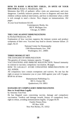#### **HOW TO RAISE A HEALTHY CHILD... IN SPITE OF YOUR DOCTOR** By Robert S. Mendelsohn, MD.

Maintains that 95% of pediatric office visits are unnecessary and even dangerous. Carefully instructs parents on how to diagnose and treat their children without medical intervention, and how to determine when a child is sick enough to need a doctor. Nice chapter on immunizations. 262 pages.

At your local bookstore \$13.95

Contemporary Books, Inc. 180 N. Michigan Ave. Chicago, IL 60601

#### **THE CASE AGAINST IMMUNIZATIONS**

by Richard Moskowitz, M.D.

Explanation of how vaccines suppress the immune system and produce symptoms of their own. Vaccines may lead to chronic immune failure. 25 pages. \$2.25

> National Center for Homeopathy 1500 Massachusetts Ave., NW Washington, D.C. 20005

#### **THREE BOOKLET SET**

THE DANGERS OF IMMUNIZATION

The genetics of viruses; immune capacity. 72 pages.

VACCINATIONS AND IMMUNE MALFUNCTION. Natural immunity in contrast to vaccines; compulsory vaccination. 48 pages.

HOW TO LEGALLY AVOID UNWANTED IMMUNIZATIONS OF ALL KINDS.

All compulsory laws contain exemptions and waivers. No one has the right or power to immunize you or your child against your will. 8 pages. \$9.00 for all three

> Humanitarian Publishing Co. RD 3, Clymer Rd. Quakertown, PA 18951

#### **DANGERS OF COMPULSORY IMMUNIZATIONS How to Avoid them Legally**

by Attorney Tom Finn

He has litigated cases concerning vaccine, damage and compulsory vaccination. Verdicts and damage awards, history of compulsory laws, right to refuse, avoiding immunizations legally. 53 pages \$5.95

> Family Fitness Press PO Box 1658 New Port Richey, FL 33552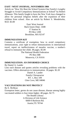### **EAST / WEST JOURNAL, NOVEMBER 1984**

Article on "How We Beat the School System-One Family's Lengthy Struggle to Avoid Compulsory Immunizations at School" by Robert Allanson. This family fought to have the New York laws changed to allow for personal religious beliefs after the expulsion of their children from school. Also an article by Robert S. Mendelsohn, M.D. \$3.00

> East/ West Journal Back Issues Dept. 144B 17 Station St. PO Box 1200 Brookline, MA 02147

#### **IMMUNIZATION KIT**

Contains a certificate of exemption, how to avoid compulsory immunizations, your right to refuse immunizations in international travel, report on ineffectiveness of measles vaccine, a mother's refusal to immunize her child. 38 pages. \$5.00

The National Health Federation PO Box 688 Monrovia, CA 91016

### **IMMUNIZATION: AN INFORMED CHOICE**

By Daniel A. Lander

Lists each disease and quotes articles revealing problems with the vaccines. Offers alternatives to immunization. 18 pages. \$2.20

> Daniel A. Lander Family Chiropractor RT. 1, Box 109 Glen Cove, ME 04846

#### **VACCINATIONS DO NOT PROTECT**

By E. McBean Exemption letter, germs do not cause disease, disease among highly vaccinated soldiers is four times higher. 48 pages. \$2.75

The Health Library A Division of Life Science 6600-0 Burleson Rd. Austin,TX 78744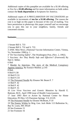Additional copies of this pamphlet are available for a \$1.00 offering or five for a **\$3.00 offering** and for more information on bulk orders contact the **book department** at Scriptures for America.

Additional copies of *A PROCLAMATION ON VACCINATIONS* are available in increments of **ten for a \$1.00 offering.** The reason the cost is so high on this paper is because of the cost of mailing. You have permission to photocopy this paper yourself and we encourage you to pass this out to your neighbors, family, friends and concerned citizens.

**footnotes\_\_\_\_\_\_\_\_\_\_\_\_\_\_\_\_\_\_\_\_\_\_\_\_\_\_\_\_\_\_\_\_\_\_\_\_\_\_\_\_\_\_\_\_\_\_**

- 1 Senate Bill S. 733
- 2 Senate Bill S. 732 and S. 733
- 3 ANIC Mini News. (National Vaccine Information Center, Vienna, Va, November 1990) p. 1 .
- 4 "*On Vaccinating Safely*", The Washington Post, (Nov. 2, 1992).
- 5 *Vaccines: Are They Really Safe and Effective?* (Foreword) By Neil Z. Miller.
- 6 Ibid

7 Murder by Injection- The story of the Medical Conspiracy Against America, By Eustace Mullins. p.145

8 Ibid.

- 9 Ibid P.130
- 10 Ibid P.131
- 11 Ibid P.133
- 12 The Poisoned Needle By Eleanor Mc Beam P. 7
- 13 Ibid P. 42
- 14 Ibid P. 42
- 15 Ibid P. 55

16 *Live Virus Vaccines and Genetic Mutation* by Harold E. Buttram, M.D., April 1990 issue of Health Consciousness

17 June 1993 *Alert to Action* by National Center for Home Education, PO Box 125 Pueonian Springs, VA 22129.

18 The Poisoned Needle by Eleanor McBeam, P.10

19 The Enemy Within by Brig. Gen. Jack Mohr 113 Ballentine St., Bay St. Louis, MS 39520

- 20 See Footnote 15
- 21 See Footnote 16